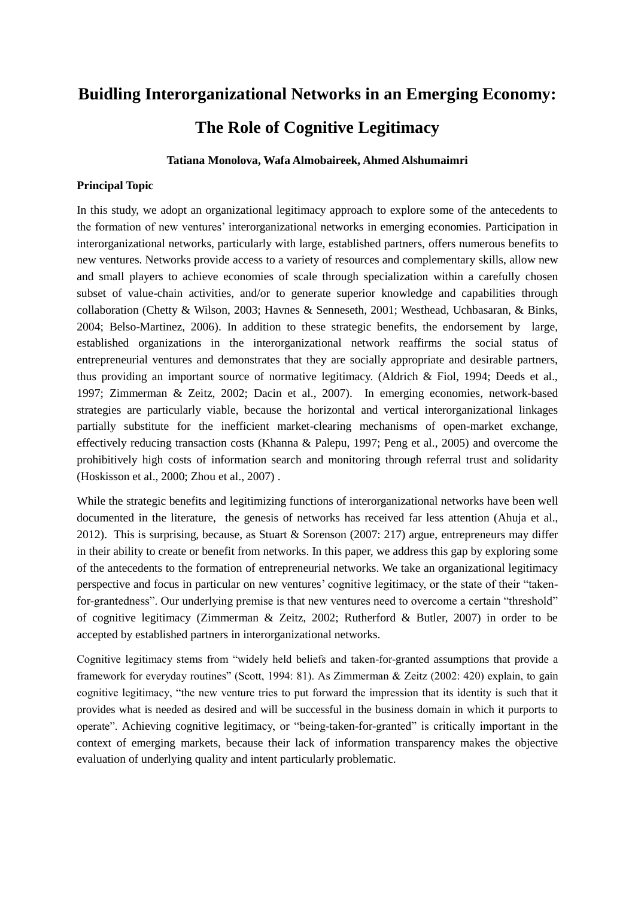# **Buidling Interorganizational Networks in an Emerging Economy: The Role of Cognitive Legitimacy**

# **Tatiana Monolova, Wafa Almobaireek, Ahmed Alshumaimri**

## **Principal Topic**

In this study, we adopt an organizational legitimacy approach to explore some of the antecedents to the formation of new ventures' interorganizational networks in emerging economies. Participation in interorganizational networks, particularly with large, established partners, offers numerous benefits to new ventures. Networks provide access to a variety of resources and complementary skills, allow new and small players to achieve economies of scale through specialization within a carefully chosen subset of value-chain activities, and/or to generate superior knowledge and capabilities through collaboration (Chetty & Wilson, 2003; Havnes & Senneseth, 2001; Westhead, Uchbasaran, & Binks, 2004; Belso-Martinez, 2006). In addition to these strategic benefits, the endorsement by large, established organizations in the interorganizational network reaffirms the social status of entrepreneurial ventures and demonstrates that they are socially appropriate and desirable partners, thus providing an important source of normative legitimacy. (Aldrich & Fiol, 1994; Deeds et al., 1997; Zimmerman & Zeitz, 2002; Dacin et al., 2007). In emerging economies, network-based strategies are particularly viable, because the horizontal and vertical interorganizational linkages partially substitute for the inefficient market-clearing mechanisms of open-market exchange, effectively reducing transaction costs (Khanna & Palepu, 1997; Peng et al., 2005) and overcome the prohibitively high costs of information search and monitoring through referral trust and solidarity (Hoskisson et al., 2000; Zhou et al., 2007) .

While the strategic benefits and legitimizing functions of interorganizational networks have been well documented in the literature, the genesis of networks has received far less attention (Ahuja et al., 2012). This is surprising, because, as Stuart & Sorenson (2007: 217) argue, entrepreneurs may differ in their ability to create or benefit from networks. In this paper, we address this gap by exploring some of the antecedents to the formation of entrepreneurial networks. We take an organizational legitimacy perspective and focus in particular on new ventures' cognitive legitimacy, or the state of their "takenfor-grantedness". Our underlying premise is that new ventures need to overcome a certain "threshold" of cognitive legitimacy (Zimmerman & Zeitz, 2002; Rutherford & Butler, 2007) in order to be accepted by established partners in interorganizational networks.

Cognitive legitimacy stems from "widely held beliefs and taken-for-granted assumptions that provide a framework for everyday routines" (Scott, 1994: 81). As Zimmerman & Zeitz (2002: 420) explain, to gain cognitive legitimacy, "the new venture tries to put forward the impression that its identity is such that it provides what is needed as desired and will be successful in the business domain in which it purports to operate". Achieving cognitive legitimacy, or "being-taken-for-granted" is critically important in the context of emerging markets, because their lack of information transparency makes the objective evaluation of underlying quality and intent particularly problematic.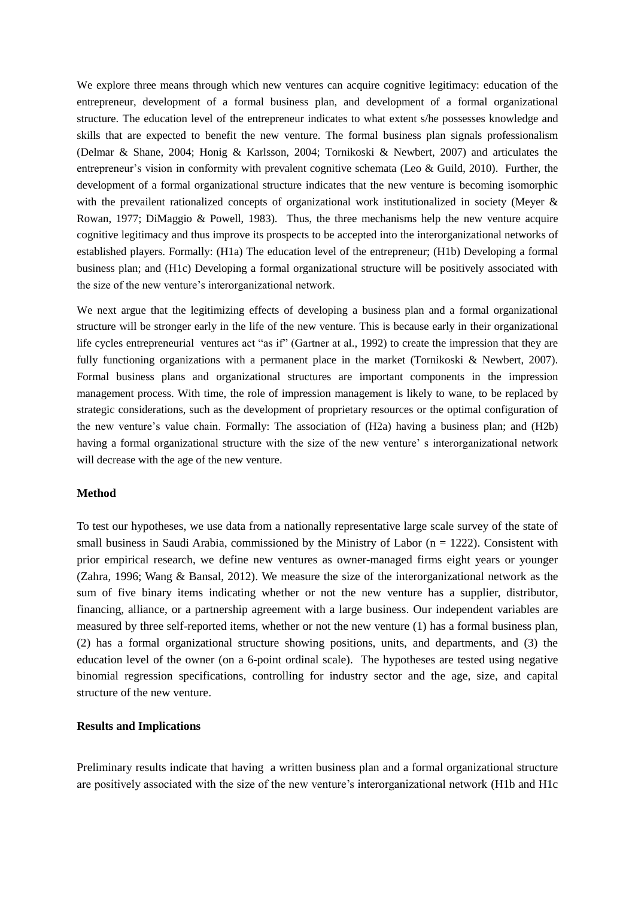We explore three means through which new ventures can acquire cognitive legitimacy: education of the entrepreneur, development of a formal business plan, and development of a formal organizational structure. The education level of the entrepreneur indicates to what extent s/he possesses knowledge and skills that are expected to benefit the new venture. The formal business plan signals professionalism (Delmar & Shane, 2004; Honig & Karlsson, 2004; Tornikoski & Newbert, 2007) and articulates the entrepreneur's vision in conformity with prevalent cognitive schemata (Leo & Guild, 2010). Further, the development of a formal organizational structure indicates that the new venture is becoming isomorphic with the prevailent rationalized concepts of organizational work institutionalized in society (Meyer & Rowan, 1977; DiMaggio & Powell, 1983). Thus, the three mechanisms help the new venture acquire cognitive legitimacy and thus improve its prospects to be accepted into the interorganizational networks of established players. Formally: (H1a) The education level of the entrepreneur; (H1b) Developing a formal business plan; and (H1c) Developing a formal organizational structure will be positively associated with the size of the new venture's interorganizational network.

We next argue that the legitimizing effects of developing a business plan and a formal organizational structure will be stronger early in the life of the new venture. This is because early in their organizational life cycles entrepreneurial ventures act "as if" (Gartner at al., 1992) to create the impression that they are fully functioning organizations with a permanent place in the market (Tornikoski & Newbert, 2007). Formal business plans and organizational structures are important components in the impression management process. With time, the role of impression management is likely to wane, to be replaced by strategic considerations, such as the development of proprietary resources or the optimal configuration of the new venture's value chain. Formally: The association of (H2a) having a business plan; and (H2b) having a formal organizational structure with the size of the new venture' s interorganizational network will decrease with the age of the new venture.

#### **Method**

To test our hypotheses, we use data from a nationally representative large scale survey of the state of small business in Saudi Arabia, commissioned by the Ministry of Labor ( $n = 1222$ ). Consistent with prior empirical research, we define new ventures as owner-managed firms eight years or younger (Zahra, 1996; Wang & Bansal, 2012). We measure the size of the interorganizational network as the sum of five binary items indicating whether or not the new venture has a supplier, distributor, financing, alliance, or a partnership agreement with a large business. Our independent variables are measured by three self-reported items, whether or not the new venture (1) has a formal business plan, (2) has a formal organizational structure showing positions, units, and departments, and (3) the education level of the owner (on a 6-point ordinal scale). The hypotheses are tested using negative binomial regression specifications, controlling for industry sector and the age, size, and capital structure of the new venture.

### **Results and Implications**

Preliminary results indicate that having a written business plan and a formal organizational structure are positively associated with the size of the new venture's interorganizational network (H1b and H1c